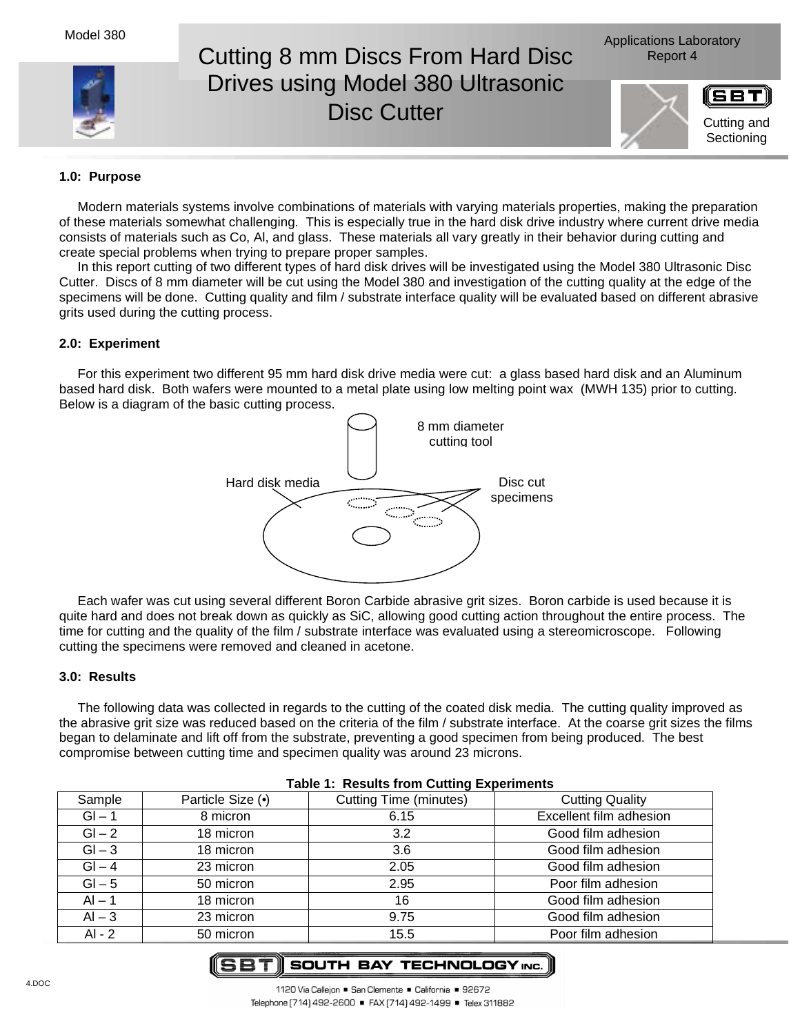

# Cutting 8 mm Discs From Hard Disc Report 4 Drives using Model 380 Ultrasonic Disc Cutter





## **1.0: Purpose**

Modern materials systems involve combinations of materials with varying materials properties, making the preparation of these materials somewhat challenging. This is especially true in the hard disk drive industry where current drive media consists of materials such as Co, Al, and glass. These materials all vary greatly in their behavior during cutting and create special problems when trying to prepare proper samples.

In this report cutting of two different types of hard disk drives will be investigated using the Model 380 Ultrasonic Disc Cutter. Discs of 8 mm diameter will be cut using the Model 380 and investigation of the cutting quality at the edge of the specimens will be done. Cutting quality and film / substrate interface quality will be evaluated based on different abrasive grits used during the cutting process.

## **2.0: Experiment**

For this experiment two different 95 mm hard disk drive media were cut: a glass based hard disk and an Aluminum based hard disk. Both wafers were mounted to a metal plate using low melting point wax (MWH 135) prior to cutting. Below is a diagram of the basic cutting process.



Each wafer was cut using several different Boron Carbide abrasive grit sizes. Boron carbide is used because it is quite hard and does not break down as quickly as SiC, allowing good cutting action throughout the entire process. The time for cutting and the quality of the film / substrate interface was evaluated using a stereomicroscope. Following cutting the specimens were removed and cleaned in acetone.

### **3.0: Results**

The following data was collected in regards to the cutting of the coated disk media. The cutting quality improved as the abrasive grit size was reduced based on the criteria of the film / substrate interface. At the coarse grit sizes the films began to delaminate and lift off from the substrate, preventing a good specimen from being produced. The best compromise between cutting time and specimen quality was around 23 microns.

| Sample   | Particle Size (•) | <b>Cutting Time (minutes)</b> | <b>Cutting Quality</b>  |
|----------|-------------------|-------------------------------|-------------------------|
| $GI - 1$ | 8 micron          | 6.15                          | Excellent film adhesion |
| $GI - 2$ | 18 micron         | 3.2                           | Good film adhesion      |
| $GI - 3$ | 18 micron         | 3.6                           | Good film adhesion      |
| $GI - 4$ | 23 micron         | 2.05                          | Good film adhesion      |
| $GI - 5$ | 50 micron         | 2.95                          | Poor film adhesion      |
| $AI - 1$ | 18 micron         | 16                            | Good film adhesion      |
| $AI - 3$ | 23 micron         | 9.75                          | Good film adhesion      |
| AI - 2   | 50 micron         | 15.5                          | Poor film adhesion      |

#### **Table 1: Results from Cutting Experiments**